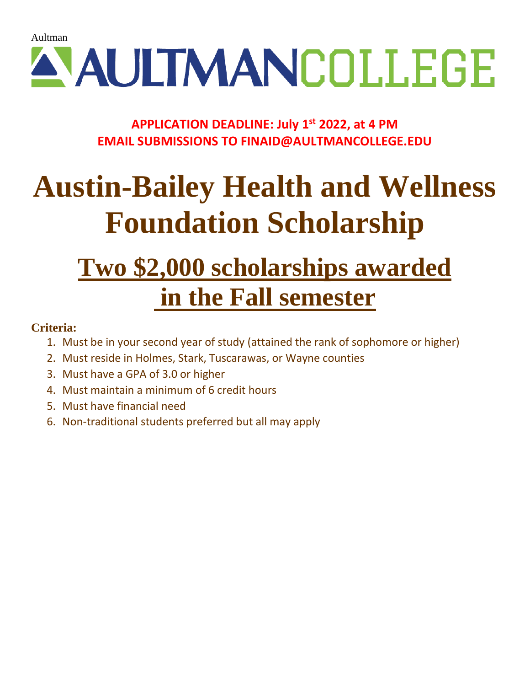# A AULTMANCOLLEGE

# **APPLICATION DEADLINE: July 1st 2022, at 4 PM EMAIL SUBMISSIONS TO FINAID@AULTMANCOLLEGE.EDU**

# **Austin-Bailey Health and Wellness Foundation Scholarship**

# **Two \$2,000 scholarships awarded in the Fall semester**

## **Criteria:**

- 1. Must be in your second year of study (attained the rank of sophomore or higher)
- 2. Must reside in Holmes, Stark, Tuscarawas, or Wayne counties
- 3. Must have a GPA of 3.0 or higher
- 4. Must maintain a minimum of 6 credit hours
- 5. Must have financial need
- 6. Non-traditional students preferred but all may apply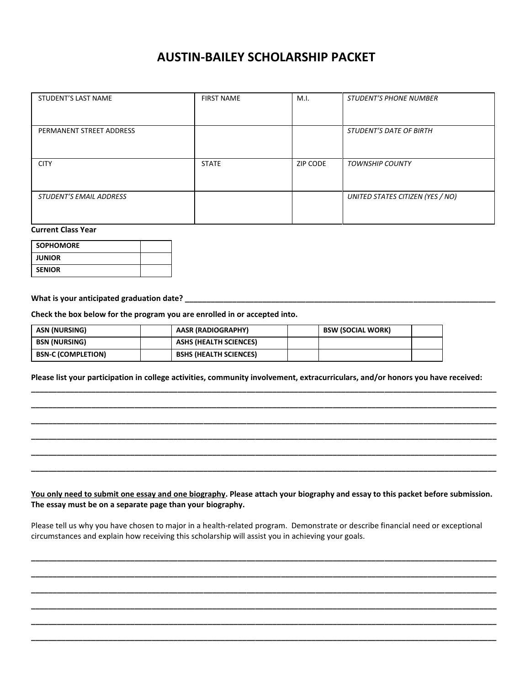### **AUSTIN-BAILEY SCHOLARSHIP PACKET**

| STUDENT'S LAST NAME            | <b>FIRST NAME</b> | M.I.     | <b>STUDENT'S PHONE NUMBER</b>    |
|--------------------------------|-------------------|----------|----------------------------------|
|                                |                   |          |                                  |
|                                |                   |          |                                  |
|                                |                   |          |                                  |
|                                |                   |          |                                  |
|                                |                   |          |                                  |
|                                |                   |          |                                  |
| PERMANENT STREET ADDRESS       |                   |          | <b>STUDENT'S DATE OF BIRTH</b>   |
|                                |                   |          |                                  |
|                                |                   |          |                                  |
|                                |                   |          |                                  |
|                                |                   |          |                                  |
|                                |                   |          |                                  |
| <b>CITY</b>                    | <b>STATE</b>      | ZIP CODE | <b>TOWNSHIP COUNTY</b>           |
|                                |                   |          |                                  |
|                                |                   |          |                                  |
|                                |                   |          |                                  |
|                                |                   |          |                                  |
|                                |                   |          |                                  |
| <b>STUDENT'S EMAIL ADDRESS</b> |                   |          | UNITED STATES CITIZEN (YES / NO) |
|                                |                   |          |                                  |
|                                |                   |          |                                  |
|                                |                   |          |                                  |
|                                |                   |          |                                  |
|                                |                   |          |                                  |

#### **Current Class Year**

| <b>SOPHOMORE</b> |  |
|------------------|--|
| <b>JUNIOR</b>    |  |
| <b>SENIOR</b>    |  |

### **What is your anticipated graduation date? \_\_\_\_\_\_\_\_\_\_\_\_\_\_\_\_\_\_\_\_\_\_\_\_\_\_\_\_\_\_\_\_\_\_\_\_\_\_\_\_\_\_\_\_\_\_\_\_\_\_\_\_\_\_\_\_\_\_\_\_\_\_\_\_\_\_\_\_\_\_\_\_**

**Check the box below for the program you are enrolled in or accepted into.**

| ASN (NURSING)             | AASR (RADIOGRAPHY)            | <b>BSW (SOCIAL WORK)</b> |  |
|---------------------------|-------------------------------|--------------------------|--|
| <b>BSN (NURSING)</b>      | ASHS (HEALTH SCIENCES)        |                          |  |
| <b>BSN-C (COMPLETION)</b> | <b>BSHS (HEALTH SCIENCES)</b> |                          |  |

**Please list your participation in college activities, community involvement, extracurriculars, and/or honors you have received:** 

**\_\_\_\_\_\_\_\_\_\_\_\_\_\_\_\_\_\_\_\_\_\_\_\_\_\_\_\_\_\_\_\_\_\_\_\_\_\_\_\_\_\_\_\_\_\_\_\_\_\_\_\_\_\_\_\_\_\_\_\_\_\_\_\_\_\_\_\_\_\_\_\_\_\_\_\_\_\_\_\_\_\_\_\_\_\_\_\_\_\_\_\_\_\_\_\_\_\_\_\_\_\_\_\_\_\_\_\_ \_\_\_\_\_\_\_\_\_\_\_\_\_\_\_\_\_\_\_\_\_\_\_\_\_\_\_\_\_\_\_\_\_\_\_\_\_\_\_\_\_\_\_\_\_\_\_\_\_\_\_\_\_\_\_\_\_\_\_\_\_\_\_\_\_\_\_\_\_\_\_\_\_\_\_\_\_\_\_\_\_\_\_\_\_\_\_\_\_\_\_\_\_\_\_\_\_\_\_\_\_\_\_\_\_\_\_\_ \_\_\_\_\_\_\_\_\_\_\_\_\_\_\_\_\_\_\_\_\_\_\_\_\_\_\_\_\_\_\_\_\_\_\_\_\_\_\_\_\_\_\_\_\_\_\_\_\_\_\_\_\_\_\_\_\_\_\_\_\_\_\_\_\_\_\_\_\_\_\_\_\_\_\_\_\_\_\_\_\_\_\_\_\_\_\_\_\_\_\_\_\_\_\_\_\_\_\_\_\_\_\_\_\_\_\_\_ \_\_\_\_\_\_\_\_\_\_\_\_\_\_\_\_\_\_\_\_\_\_\_\_\_\_\_\_\_\_\_\_\_\_\_\_\_\_\_\_\_\_\_\_\_\_\_\_\_\_\_\_\_\_\_\_\_\_\_\_\_\_\_\_\_\_\_\_\_\_\_\_\_\_\_\_\_\_\_\_\_\_\_\_\_\_\_\_\_\_\_\_\_\_\_\_\_\_\_\_\_\_\_\_\_\_\_\_ \_\_\_\_\_\_\_\_\_\_\_\_\_\_\_\_\_\_\_\_\_\_\_\_\_\_\_\_\_\_\_\_\_\_\_\_\_\_\_\_\_\_\_\_\_\_\_\_\_\_\_\_\_\_\_\_\_\_\_\_\_\_\_\_\_\_\_\_\_\_\_\_\_\_\_\_\_\_\_\_\_\_\_\_\_\_\_\_\_\_\_\_\_\_\_\_\_\_\_\_\_\_\_\_\_\_\_\_ \_\_\_\_\_\_\_\_\_\_\_\_\_\_\_\_\_\_\_\_\_\_\_\_\_\_\_\_\_\_\_\_\_\_\_\_\_\_\_\_\_\_\_\_\_\_\_\_\_\_\_\_\_\_\_\_\_\_\_\_\_\_\_\_\_\_\_\_\_\_\_\_\_\_\_\_\_\_\_\_\_\_\_\_\_\_\_\_\_\_\_\_\_\_\_\_\_\_\_\_\_\_\_\_\_\_\_\_**

#### **You only need to submit one essay and one biography. Please attach your biography and essay to this packet before submission. The essay must be on a separate page than your biography.**

Please tell us why you have chosen to major in a health-related program. Demonstrate or describe financial need or exceptional circumstances and explain how receiving this scholarship will assist you in achieving your goals.

**\_\_\_\_\_\_\_\_\_\_\_\_\_\_\_\_\_\_\_\_\_\_\_\_\_\_\_\_\_\_\_\_\_\_\_\_\_\_\_\_\_\_\_\_\_\_\_\_\_\_\_\_\_\_\_\_\_\_\_\_\_\_\_\_\_\_\_\_\_\_\_\_\_\_\_\_\_\_\_\_\_\_\_\_\_\_\_\_\_\_\_\_\_\_\_\_\_\_\_\_\_\_\_\_\_\_\_\_ \_\_\_\_\_\_\_\_\_\_\_\_\_\_\_\_\_\_\_\_\_\_\_\_\_\_\_\_\_\_\_\_\_\_\_\_\_\_\_\_\_\_\_\_\_\_\_\_\_\_\_\_\_\_\_\_\_\_\_\_\_\_\_\_\_\_\_\_\_\_\_\_\_\_\_\_\_\_\_\_\_\_\_\_\_\_\_\_\_\_\_\_\_\_\_\_\_\_\_\_\_\_\_\_\_\_\_\_ \_\_\_\_\_\_\_\_\_\_\_\_\_\_\_\_\_\_\_\_\_\_\_\_\_\_\_\_\_\_\_\_\_\_\_\_\_\_\_\_\_\_\_\_\_\_\_\_\_\_\_\_\_\_\_\_\_\_\_\_\_\_\_\_\_\_\_\_\_\_\_\_\_\_\_\_\_\_\_\_\_\_\_\_\_\_\_\_\_\_\_\_\_\_\_\_\_\_\_\_\_\_\_\_\_\_\_\_ \_\_\_\_\_\_\_\_\_\_\_\_\_\_\_\_\_\_\_\_\_\_\_\_\_\_\_\_\_\_\_\_\_\_\_\_\_\_\_\_\_\_\_\_\_\_\_\_\_\_\_\_\_\_\_\_\_\_\_\_\_\_\_\_\_\_\_\_\_\_\_\_\_\_\_\_\_\_\_\_\_\_\_\_\_\_\_\_\_\_\_\_\_\_\_\_\_\_\_\_\_\_\_\_\_\_\_\_ \_\_\_\_\_\_\_\_\_\_\_\_\_\_\_\_\_\_\_\_\_\_\_\_\_\_\_\_\_\_\_\_\_\_\_\_\_\_\_\_\_\_\_\_\_\_\_\_\_\_\_\_\_\_\_\_\_\_\_\_\_\_\_\_\_\_\_\_\_\_\_\_\_\_\_\_\_\_\_\_\_\_\_\_\_\_\_\_\_\_\_\_\_\_\_\_\_\_\_\_\_\_\_\_\_\_\_\_ \_\_\_\_\_\_\_\_\_\_\_\_\_\_\_\_\_\_\_\_\_\_\_\_\_\_\_\_\_\_\_\_\_\_\_\_\_\_\_\_\_\_\_\_\_\_\_\_\_\_\_\_\_\_\_\_\_\_\_\_\_\_\_\_\_\_\_\_\_\_\_\_\_\_\_\_\_\_\_\_\_\_\_\_\_\_\_\_\_\_\_\_\_\_\_\_\_\_\_\_\_\_\_\_\_\_\_\_**